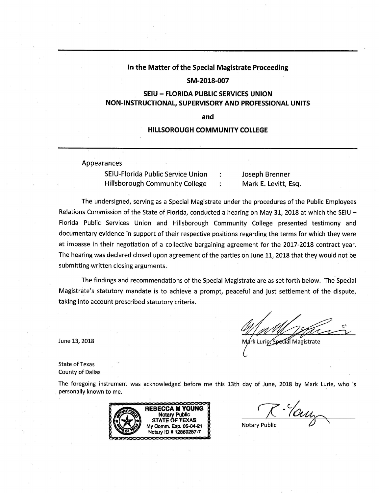### In the Matter of the Special Magistrate Proceeding

#### SM-2018-007

# **SEIU - FLORIDA PUBLIC SERVICES UNION** NON-INSTRUCTIONAL, SUPERVISORY AND PROFESSIONAL UNITS

and

### **HILLSOROUGH COMMUNITY COLLEGE**

Appearances

SEIU-Florida Public Service Union **Hillsborough Community College** 

Joseph Brenner Mark E. Levitt, Esq.

The undersigned, serving as a Special Magistrate under the procedures of the Public Employees Relations Commission of the State of Florida, conducted a hearing on May 31, 2018 at which the SEIU  $-$ Florida Public Services Union and Hillsborough Community College presented testimony and documentary evidence in support of their respective positions regarding the terms for which they were at impasse in their negotiation of a collective bargaining agreement for the 2017-2018 contract year. The hearing was declared closed upon agreement of the parties on June 11, 2018 that they would not be submitting written closing arguments.

The findings and recommendations of the Special Magistrate are as set forth below. The Special Magistrate's statutory mandate is to achieve a prompt, peaceful and just settlement of the dispute, taking into account prescribed statutory criteria.

rk Lurie, Special Magistrate

**State of Texas County of Dallas** 

June 13, 2018

The foregoing instrument was acknowledged before me this 13th day of June, 2018 by Mark Lurie, who is personally known to me.



R. Young

**Notary Public**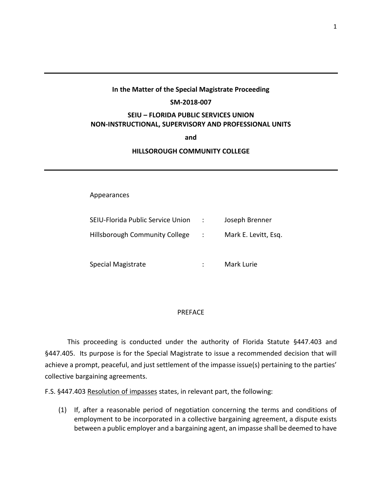# **In the Matter of the Special Magistrate Proceeding**

## **SM-2018-007**

# **SEIU – FLORIDA PUBLIC SERVICES UNION NON-INSTRUCTIONAL, SUPERVISORY AND PROFESSIONAL UNITS**

### **and**

## **HILLSOROUGH COMMUNITY COLLEGE**

# Appearances

| SEIU-Florida Public Service Union     | $\sim$ 100 $\sim$ | Joseph Brenner       |
|---------------------------------------|-------------------|----------------------|
| <b>Hillsborough Community College</b> | $\mathcal{L}$     | Mark E. Levitt, Esg. |
| Special Magistrate                    |                   | Mark Lurie           |

## PREFACE

This proceeding is conducted under the authority of Florida Statute §447.403 and §447.405. Its purpose is for the Special Magistrate to issue a recommended decision that will achieve a prompt, peaceful, and just settlement of the impasse issue(s) pertaining to the parties' collective bargaining agreements.

F.S. §447.403 Resolution of impasses states, in relevant part, the following:

(1) If, after a reasonable period of negotiation concerning the terms and conditions of employment to be incorporated in a collective bargaining agreement, a dispute exists between a public employer and a bargaining agent, an impasse shall be deemed to have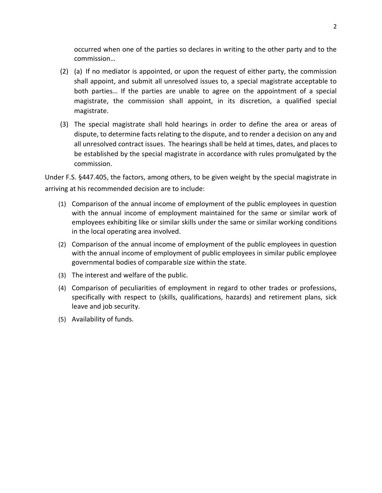occurred when one of the parties so declares in writing to the other party and to the commission…

- (2) (a) If no mediator is appointed, or upon the request of either party, the commission shall appoint, and submit all unresolved issues to, a special magistrate acceptable to both parties… If the parties are unable to agree on the appointment of a special magistrate, the commission shall appoint, in its discretion, a qualified special magistrate.
- (3) The special magistrate shall hold hearings in order to define the area or areas of dispute, to determine facts relating to the dispute, and to render a decision on any and all unresolved contract issues. The hearings shall be held at times, dates, and places to be established by the special magistrate in accordance with rules promulgated by the commission.

Under F.S. §447.405, the factors, among others, to be given weight by the special magistrate in arriving at his recommended decision are to include:

- (1) Comparison of the annual income of employment of the public employees in question with the annual income of employment maintained for the same or similar work of employees exhibiting like or similar skills under the same or similar working conditions in the local operating area involved.
- (2) Comparison of the annual income of employment of the public employees in question with the annual income of employment of public employees in similar public employee governmental bodies of comparable size within the state.
- (3) The interest and welfare of the public.
- (4) Comparison of peculiarities of employment in regard to other trades or professions, specifically with respect to (skills, qualifications, hazards) and retirement plans, sick leave and job security.
- (5) Availability of funds.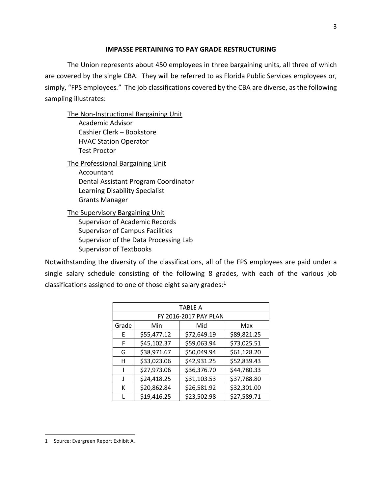## **IMPASSE PERTAINING TO PAY GRADE RESTRUCTURING**

The Union represents about 450 employees in three bargaining units, all three of which are covered by the single CBA. They will be referred to as Florida Public Services employees or, simply, "FPS employees*.*" The job classifications covered by the CBA are diverse, as the following sampling illustrates:

The Non-Instructional Bargaining Unit

Academic Advisor Cashier Clerk – Bookstore HVAC Station Operator Test Proctor

The Professional Bargaining Unit Accountant Dental Assistant Program Coordinator Learning Disability Specialist Grants Manager

The Supervisory Bargaining Unit Supervisor of Academic Records Supervisor of Campus Facilities Supervisor of the Data Processing Lab Supervisor of Textbooks

Notwithstanding the diversity of the classifications, all of the FPS employees are paid under a single salary schedule consisting of the following 8 grades, with each of the various job classifications assigned to one of those eight salary grades:<sup>1</sup>

|       | <b>TABLE A</b>        |             |             |  |  |  |
|-------|-----------------------|-------------|-------------|--|--|--|
|       | FY 2016-2017 PAY PLAN |             |             |  |  |  |
| Grade | Min<br>Mid<br>Max     |             |             |  |  |  |
| E     | \$55,477.12           | \$72,649.19 | \$89,821.25 |  |  |  |
| F     | \$45,102.37           | \$59,063.94 | \$73,025.51 |  |  |  |
| G     | \$38,971.67           | \$50,049.94 | \$61,128.20 |  |  |  |
| н     | \$33,023.06           | \$42,931.25 | \$52,839.43 |  |  |  |
|       | \$27,973.06           | \$36,376.70 | \$44,780.33 |  |  |  |
| J     | \$24,418.25           | \$31,103.53 | \$37,788.80 |  |  |  |
| к     | \$20,862.84           | \$26,581.92 | \$32,301.00 |  |  |  |
|       | \$19,416.25           | \$23,502.98 | \$27,589.71 |  |  |  |

<sup>3</sup>

<sup>1</sup> Source: Evergreen Report Exhibit A.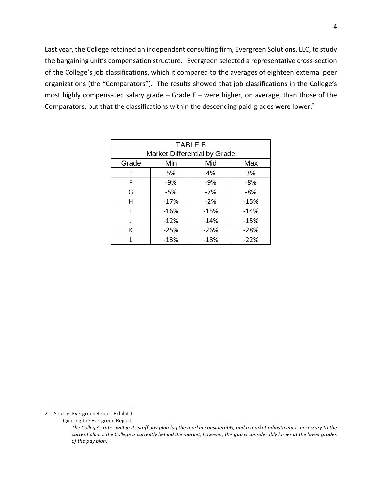Last year, the College retained an independent consulting firm, Evergreen Solutions, LLC, to study the bargaining unit's compensation structure. Evergreen selected a representative cross-section of the College's job classifications, which it compared to the averages of eighteen external peer organizations (the "Comparators"). The results showed that job classifications in the College's most highly compensated salary grade – Grade E – were higher, on average, than those of the Comparators, but that the classifications within the descending paid grades were lower:<sup>2</sup>

| <b>TABLE B</b> |                              |        |        |  |  |
|----------------|------------------------------|--------|--------|--|--|
|                | Market Differential by Grade |        |        |  |  |
| Grade          | Min                          | Mid    | Max    |  |  |
| E.             | 5%                           | 4%     | 3%     |  |  |
| F              | $-9%$                        | $-9%$  | -8%    |  |  |
| G              | $-5%$                        | $-7%$  | -8%    |  |  |
| н              | $-17%$                       | $-2%$  | $-15%$ |  |  |
|                | $-16%$                       | $-15%$ | $-14%$ |  |  |
|                | $-12%$                       | $-14%$ | $-15%$ |  |  |
| к              | $-25%$                       | $-26%$ | $-28%$ |  |  |
|                | $-13%$                       | $-18%$ | $-22%$ |  |  |

<sup>2</sup> Source: Evergreen Report Exhibit J.

Quoting the Evergreen Report,

*The College's rates within its staff pay plan lag the market considerably, and a market adjustment is necessary to the current plan. …the College is currently behind the market; however, this gap is considerably larger at the lower grades of the pay plan.*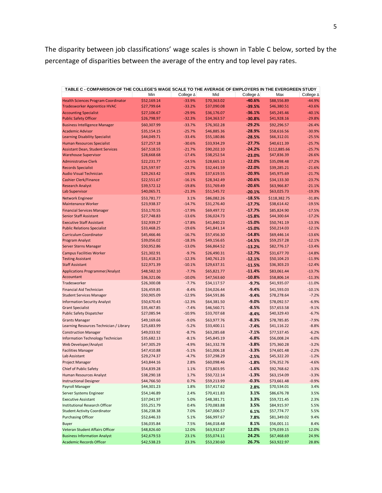The disparity between job classifications' wage scales is shown in Table C below, sorted by the percentage of disparities between the average of the entry and top level pay rates.

| TABLE C - COMPARISON OF THE COLLEGE'S WAGE SCALE TO THE AVERAGE OF EMPLOYERS IN THE EVERGREEN STUDY |             |           |             |           |              |                  |
|-----------------------------------------------------------------------------------------------------|-------------|-----------|-------------|-----------|--------------|------------------|
|                                                                                                     | Min         | College ∆ | Mid         | College A | Max          | College $\Delta$ |
| <b>Health Sciences Program Coordinator</b>                                                          | \$52,169.14 | $-33.9%$  | \$70,363.02 | $-40.6%$  | \$88,556.89  | $-44.9%$         |
| <b>Tradesworker Apprentice HVAC</b>                                                                 | \$27,799.64 | $-33.2%$  | \$37,090.08 | $-39.5%$  | \$46,380.51  | $-43.6%$         |
| <b>Accounting Specialist</b>                                                                        | \$27,106.67 | $-29.9%$  | \$36,176.07 | $-36.1%$  | \$45,245.46  | $-40.1%$         |
| <b>Public Safety Officer</b>                                                                        | \$26,798.97 | $-32.3%$  | \$34,363.57 | $-30.8%$  | \$41,928.16  | $-29.8%$         |
| <b>Business Intelligence Manager</b>                                                                | \$60,307.99 | $-33.7%$  | \$76,302.28 | $-29.2%$  | \$92,296.57  | $-26.4%$         |
| <b>Academic Advisor</b>                                                                             | \$35,154.15 | $-25.7%$  | \$46,885.36 | $-28.9%$  | \$58,616.56  | $-30.9%$         |
| <b>Learning Disability Specialist</b>                                                               | \$44,049.71 | $-33.4%$  | \$55,180.86 | $-28.5%$  | \$66,312.01  | $-25.5%$         |
| <b>Human Resources Specialist</b>                                                                   | \$27,257.18 | $-30.6%$  | \$33,934.29 | $-27.7%$  | \$40,611.39  | $-25.7%$         |
| <b>Assistant Dean, Student Services</b>                                                             | \$67,518.55 | $-21.7%$  | \$90,202.10 | $-24.2%$  | \$112,885.66 | $-25.7%$         |
| <b>Warehouse Supervisor</b>                                                                         | \$28,668.68 | $-17.4%$  | \$38,252.54 | $-23.0%$  | \$47,836.39  | $-26.6%$         |
| <b>Administrative Clerk</b>                                                                         | \$22,231.77 | $-14.5%$  | \$28,665.13 | $-22.0%$  | \$35,098.48  | $-27.2%$         |
| <b>Records Specialist</b>                                                                           | \$25,597.97 | $-22.7%$  | \$32,441.59 | $-22.0%$  | \$39,285.21  | $-21.6%$         |
| <b>Audio Visual Technician</b>                                                                      | \$29,263.42 | $-19.8%$  | \$37,619.55 | $-20.9%$  | \$45,975.69  | $-21.7%$         |
| <b>Cashier Clerk/Finance</b>                                                                        | \$22,551.67 | $-16.1%$  | \$28,342.49 | $-20.6%$  | \$34,133.30  | $-23.7%$         |
| <b>Research Analyst</b>                                                                             | \$39,572.12 | $-19.8%$  | \$51,769.49 | $-20.6%$  | \$63,966.87  | $-21.1%$         |
| Lab Supervisor                                                                                      | \$40,065.71 | $-21.3%$  | \$51,545.72 | $-20.1%$  | \$63,025.73  | $-19.3%$         |
| Network Engineer                                                                                    | \$53,781.77 | 3.1%      | \$86,082.26 | $-18.5%$  | \$118,382.75 | $-31.8%$         |
| <b>Maintenance Worker</b>                                                                           | \$23,938.37 | $-14.7%$  | \$31,276.40 | $-17.7%$  | \$38,614.42  | $-19.5%$         |
| <b>Financial Services Manager</b>                                                                   | \$53,170.55 | $-17.9%$  | \$69,497.72 | $-17.7%$  | \$85,824.90  | $-17.5%$         |
| <b>Senior Staff Assistant</b>                                                                       | \$27,748.83 | $-13.6%$  | \$36,024.73 | $-15.8%$  | \$44,300.64  | $-17.2%$         |
| <b>Executive Staff Assistant</b>                                                                    | \$32,939.27 | $-17.8%$  | \$41,840.23 | $-15.0%$  | \$50,741.19  | $-13.3%$         |
| <b>Public Relations Specialist</b>                                                                  | \$33,468.25 | $-19.6%$  | \$41,841.14 | $-15.0%$  | \$50,214.03  | $-12.1%$         |
| <b>Curriculum Coordinator</b>                                                                       | \$45,466.46 | $-16.7%$  | \$57,456.30 | $-14.8%$  | \$69,446.14  | $-13.6%$         |
| Program Analyst                                                                                     | \$39,056.02 | $-18.3%$  | \$49,156.65 | $-14.5%$  | \$59,257.28  | $-12.1%$         |
| Server Sterns Manager                                                                               | \$50,952.86 | $-13.0%$  | \$66,864.52 | $-13.2%$  | \$82,776.17  | $-13.4%$         |
| <b>Campus Facilities Worker</b>                                                                     | \$21,302.91 | $-9.7%$   | \$26,490.31 | $-12.7%$  | \$31,677.70  | $-14.8%$         |
| <b>Testing Assistant</b>                                                                            | \$31,418.23 | $-12.3%$  | \$40,761.23 | $-12.1%$  | \$50,104.23  | $-11.9%$         |
| <b>Staff Assistant</b>                                                                              | \$22,971.39 | $-10.1%$  | \$29,637.31 | $-11.5%$  | \$36,303.23  | $-12.4%$         |
| <b>Applications Programmer/Analyst</b>                                                              | \$48,582.10 | $-7.7%$   | \$65,821.77 | $-11.4%$  | \$83,061.44  | $-13.7%$         |
| Accountant                                                                                          | \$36,321.06 | $-10.0%$  | \$47,563.60 | $-10.8%$  | \$58,806.14  | $-11.3%$         |
| Tradesworker                                                                                        | \$26,300.08 | $-7.7%$   | \$34,117.57 | $-9.7%$   | \$41,935.07  | $-11.0%$         |
| <b>Financial Aid Technician</b>                                                                     | \$26,459.85 | $-8.4%$   | \$34,026.44 | $-9.4%$   | \$41,593.03  | $-10.1%$         |
| <b>Student Services Manager</b>                                                                     | \$50,905.09 | $-12.9%$  | \$64,591.86 | $-9.4%$   | \$78,278.64  | $-7.2%$          |
| <b>Information Security Analyst</b>                                                                 | \$50,670.43 | $-12.3%$  | \$64,381.50 | $-9.0%$   | \$78,092.57  | $-6.9%$          |
| <b>Grant Specialist</b>                                                                             | \$35,467.85 | $-7.4%$   | \$46,560.71 | $-8.5%$   | \$57,653.58  | $-9.1%$          |
| <b>Public Safety Dispatcher</b>                                                                     | \$27,085.94 | $-10.9%$  | \$33,707.68 | $-8.4%$   | \$40,329.43  | $-6.7%$          |
| <b>Grants Manager</b>                                                                               | \$49,169.66 | $-9.0%$   | \$63,977.76 | $-8.3%$   | \$78,785.85  | $-7.9%$          |
| Learning Resources Technician / Library                                                             | \$25,683.99 | $-5.2%$   | \$33,400.11 | $-7.4%$   | \$41,116.22  | $-8.8%$          |
| <b>Construction Manager</b>                                                                         | \$49,033.92 | $-8.7%$   | \$63,285.68 | $-7.1%$   | \$77,537.45  | $-6.2%$          |
| Information Technology Technician                                                                   | \$35,682.13 | $-8.1%$   | \$45,845.19 | $-6.8%$   | \$56,008.24  | $-6.0%$          |
| Web Developer/Analyst                                                                               | \$47,305.29 | $-4.9%$   | \$61,332.78 | $-3.8%$   | \$75,360.28  | $-3.2%$          |
| <b>Facilities Manager</b>                                                                           | \$47,410.88 | $-5.1%$   | \$61,006.18 | $-3.3%$   | \$74,601.48  | $-2.2%$          |
| Lab Assistant                                                                                       | \$29,274.37 | $-4.7%$   | \$37,298.29 | $-2.5%$   | \$45,322.20  | $-1.2%$          |
| Project Manager                                                                                     | \$43,844.16 | 2.8%      | \$60,098.46 | $-1.8%$   | \$76,352.76  | $-4.6%$          |
| Chief of Public Safety                                                                              | \$54,839.28 | 1.1%      | \$73,803.95 | $-1.6%$   | \$92,768.62  | $-3.3%$          |
| Human Resources Analyst                                                                             | \$38,290.18 | 1.7%      | \$50,722.14 | $-1.3%$   | \$63,154.09  | $-3.3%$          |
| <b>Instructional Designer</b>                                                                       | \$44,766.50 | 0.7%      | \$59,213.99 | $-0.3%$   | \$73,661.48  | $-0.9%$          |
| Payroll Manager                                                                                     | \$44,301.23 | 1.8%      | \$57,417.62 | 2.8%      | \$70,534.01  | 3.4%             |
| Server Systems Engineer                                                                             | \$54,146.89 | 2.4%      | \$70,411.83 | 3.1%      | \$86,676.78  | 3.5%             |
| <b>Executive Assistant</b>                                                                          | \$37,041.97 | 5.0%      | \$48,381.71 | 3.3%      | \$59,721.45  | 2.3%             |
| Institutional Research Officer                                                                      | \$55,251.79 | 0.4%      | \$70,083.88 | 3.5%      | \$84,915.97  | 5.5%             |
| <b>Student Activity Coordinator</b>                                                                 | \$36,238.38 | 7.0%      | \$47,006.57 | 6.1%      | \$57,774.77  | 5.5%             |
| <b>Purchasing Officer</b>                                                                           | \$52,646.33 | 5.1%      | \$66,997.67 | 7.8%      | \$81,349.02  | 9.4%             |
| Buyer                                                                                               | \$36,035.84 | 7.5%      | \$46,018.48 | 8.1%      | \$56,001.11  | 8.4%             |
| Veteran Student Affairs Officer                                                                     | \$48,826.60 | 12.0%     | \$63,932.87 | 12.0%     | \$79,039.15  | 12.0%            |
| <b>Business Information Analyst</b>                                                                 | \$42,679.53 | 23.1%     | \$55,074.11 | 24.2%     | \$67,468.69  | 24.9%            |
| <b>Academic Records Officer</b>                                                                     | \$42,538.23 | 23.3%     | \$53,230.60 | 26.7%     | \$63,922.97  | 28.8%            |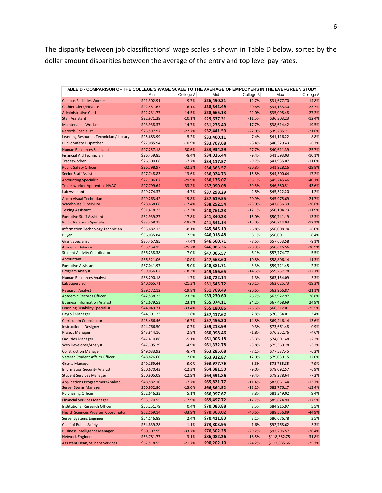The disparity between job classifications' wage scales is shown in Table D below, sorted by the dollar amount disparities between the average of the entry and top level pay rates.

| TABLE D - COMPARISON OF THE COLLEGE'S WAGE SCALE TO THE AVERAGE OF EMPLOYERS IN THE EVERGREEN STUDY |             |           |             |           |              |                   |
|-----------------------------------------------------------------------------------------------------|-------------|-----------|-------------|-----------|--------------|-------------------|
|                                                                                                     | Min         | College ∆ | Mid         | College ∆ | Max          | College ∆         |
| <b>Campus Facilities Worker</b>                                                                     | \$21,302.91 | $-9.7%$   | \$26,490.31 | $-12.7%$  | \$31,677.70  | $-14.8%$          |
| <b>Cashier Clerk/Finance</b>                                                                        | \$22,551.67 | $-16.1%$  | \$28,342.49 | $-20.6%$  | \$34,133.30  | $-23.7%$          |
| <b>Administrative Clerk</b>                                                                         | \$22,231.77 | $-14.5%$  | \$28,665.13 | $-22.0%$  | \$35,098.48  | $-27.2%$          |
| <b>Staff Assistant</b>                                                                              | \$22,971.39 | $-10.1%$  | \$29,637.31 | $-11.5%$  | \$36,303.23  | $-12.4%$          |
| <b>Maintenance Worker</b>                                                                           | \$23,938.37 | $-14.7%$  | \$31,276.40 | $-17.7%$  | \$38,614.42  | $-19.5%$          |
| <b>Records Specialist</b>                                                                           | \$25,597.97 | $-22.7%$  | \$32,441.59 | $-22.0%$  | \$39,285.21  | $-21.6%$          |
| Learning Resources Technician / Library                                                             | \$25,683.99 | $-5.2%$   | \$33,400.11 | $-7.4%$   | \$41,116.22  | $-8.8%$           |
| <b>Public Safety Dispatcher</b>                                                                     | \$27,085.94 | $-10.9%$  | \$33,707.68 | $-8.4%$   | \$40,329.43  | $-6.7%$           |
| <b>Human Resources Specialist</b>                                                                   | \$27,257.18 | $-30.6%$  | \$33,934.29 | $-27.7%$  | \$40,611.39  | $-25.7%$          |
| Financial Aid Technician                                                                            | \$26,459.85 | $-8.4%$   | \$34,026.44 | $-9.4%$   | \$41,593.03  | $-10.1%$          |
| Tradesworker                                                                                        | \$26,300.08 | $-7.7%$   | \$34,117.57 | $-9.7%$   | \$41,935.07  | $-11.0%$          |
| <b>Public Safety Officer</b>                                                                        | \$26,798.97 | $-32.3%$  | \$34,363.57 | $-30.8%$  | \$41,928.16  | $-29.8%$          |
| <b>Senior Staff Assistant</b>                                                                       | \$27,748.83 | $-13.6%$  | \$36,024.73 | $-15.8%$  | \$44,300.64  | $-17.2%$          |
|                                                                                                     |             |           |             |           |              |                   |
| <b>Accounting Specialist</b>                                                                        | \$27,106.67 | $-29.9%$  | \$36,176.07 | $-36.1%$  | \$45,245.46  | $-40.1%$          |
| <b>Tradesworker Apprentice HVAC</b>                                                                 | \$27,799.64 | $-33.2%$  | \$37,090.08 | $-39.5%$  | \$46,380.51  | $-43.6%$          |
| Lab Assistant                                                                                       | \$29,274.37 | $-4.7%$   | \$37,298.29 | $-2.5%$   | \$45,322.20  | $-1.2%$           |
| <b>Audio Visual Technician</b>                                                                      | \$29,263.42 | $-19.8%$  | \$37,619.55 | $-20.9%$  | \$45,975.69  | $-21.7%$          |
| <b>Warehouse Supervisor</b>                                                                         | \$28,668.68 | $-17.4%$  | \$38,252.54 | $-23.0%$  | \$47,836.39  | $-26.6%$          |
| <b>Testing Assistant</b>                                                                            | \$31,418.23 | $-12.3%$  | \$40,761.23 | $-12.1%$  | \$50,104.23  | $-11.9%$          |
| <b>Executive Staff Assistant</b>                                                                    | \$32,939.27 | $-17.8%$  | \$41,840.23 | $-15.0%$  | \$50,741.19  | $-13.3%$          |
| <b>Public Relations Specialist</b>                                                                  | \$33,468.25 | $-19.6%$  | \$41,841.14 | $-15.0%$  | \$50,214.03  | $-12.1%$          |
| Information Technology Technician                                                                   | \$35,682.13 | $-8.1%$   | \$45,845.19 | $-6.8%$   | \$56,008.24  | $-6.0%$           |
| <b>Buyer</b>                                                                                        | \$36,035.84 | 7.5%      | \$46,018.48 | 8.1%      | \$56,001.11  | 8.4%              |
| <b>Grant Specialist</b>                                                                             | \$35,467.85 | $-7.4%$   | \$46,560.71 | $-8.5%$   | \$57,653.58  | $-9.1%$           |
| <b>Academic Advisor</b>                                                                             | \$35,154.15 | $-25.7%$  | \$46,885.36 | $-28.9%$  | \$58,616.56  | $-30.9%$          |
| <b>Student Activity Coordinator</b>                                                                 | \$36,238.38 | 7.0%      | \$47,006.57 | 6.1%      | \$57,774.77  | 5.5%              |
| Accountant                                                                                          | \$36,321.06 | $-10.0%$  | \$47,563.60 | $-10.8%$  | \$58,806.14  | $-11.3%$          |
| <b>Executive Assistant</b>                                                                          | \$37,041.97 | 5.0%      | \$48,381.71 | 3.3%      | \$59,721.45  | 2.3%              |
| Program Analyst                                                                                     | \$39,056.02 | $-18.3%$  | \$49,156.65 | $-14.5%$  | \$59,257.28  | $-12.1%$          |
| Human Resources Analyst                                                                             | \$38,290.18 | 1.7%      | \$50,722.14 | $-1.3%$   | \$63,154.09  | $-3.3%$           |
| Lab Supervisor                                                                                      | \$40,065.71 | $-21.3%$  | \$51,545.72 | $-20.1%$  | \$63,025.73  | $-19.3%$          |
| <b>Research Analyst</b>                                                                             | \$39,572.12 | $-19.8%$  | \$51,769.49 | $-20.6%$  | \$63,966.87  | $-21.1%$          |
| <b>Academic Records Officer</b>                                                                     | \$42,538.23 | 23.3%     | \$53,230.60 | 26.7%     | \$63,922.97  | 28.8%             |
|                                                                                                     |             |           | \$55,074.11 |           |              |                   |
| <b>Business Information Analyst</b>                                                                 | \$42,679.53 | 23.1%     |             | 24.2%     | \$67,468.69  | 24.9%<br>$-25.5%$ |
| <b>Learning Disability Specialist</b>                                                               | \$44,049.71 | $-33.4%$  | \$55,180.86 | $-28.5%$  | \$66,312.01  |                   |
| Payroll Manager                                                                                     | \$44,301.23 | 1.8%      | \$57,417.62 | 2.8%      | \$70,534.01  | 3.4%              |
| <b>Curriculum Coordinator</b>                                                                       | \$45,466.46 | $-16.7%$  | \$57,456.30 | $-14.8%$  | \$69,446.14  | $-13.6%$          |
| <b>Instructional Designer</b>                                                                       | \$44,766.50 | 0.7%      | \$59,213.99 | $-0.3%$   | \$73,661.48  | $-0.9%$           |
| Project Manager                                                                                     | \$43,844.16 | 2.8%      | \$60,098.46 | $-1.8%$   | \$76,352.76  | $-4.6%$           |
| <b>Facilities Manager</b>                                                                           | \$47,410.88 | $-5.1%$   | \$61,006.18 | $-3.3%$   | \$74,601.48  | $-2.2%$           |
| Web Developer/Analyst                                                                               | \$47,305.29 | $-4.9%$   | \$61,332.78 | $-3.8%$   | \$75,360.28  | $-3.2%$           |
| <b>Construction Manager</b>                                                                         | \$49,033.92 | $-8.7%$   | \$63,285.68 | $-7.1%$   | \$77,537.45  | $-6.2%$           |
| Veteran Student Affairs Officer                                                                     | \$48,826.60 | 12.0%     | \$63,932.87 | 12.0%     | \$79,039.15  | 12.0%             |
| <b>Grants Manager</b>                                                                               | \$49,169.66 | $-9.0%$   | \$63,977.76 | $-8.3%$   | \$78,785.85  | $-7.9%$           |
| <b>Information Security Analyst</b>                                                                 | \$50,670.43 | $-12.3%$  | \$64,381.50 | $-9.0%$   | \$78,092.57  | $-6.9%$           |
| <b>Student Services Manager</b>                                                                     | \$50,905.09 | $-12.9%$  | \$64,591.86 | $-9.4%$   | \$78,278.64  | $-7.2%$           |
| <b>Applications Programmer/Analyst</b>                                                              | \$48,582.10 | $-7.7%$   | \$65,821.77 | $-11.4%$  | \$83,061.44  | $-13.7%$          |
| Server Sterns Manager                                                                               | \$50,952.86 | $-13.0%$  | \$66,864.52 | $-13.2%$  | \$82,776.17  | $-13.4%$          |
| <b>Purchasing Officer</b>                                                                           | \$52,646.33 | 5.1%      | \$66,997.67 | 7.8%      | \$81,349.02  | 9.4%              |
| <b>Financial Services Manager</b>                                                                   | \$53,170.55 | $-17.9%$  | \$69,497.72 | $-17.7%$  | \$85,824.90  | $-17.5%$          |
| Institutional Research Officer                                                                      | \$55,251.79 | 0.4%      | \$70,083.88 | 3.5%      | \$84,915.97  | 5.5%              |
| <b>Health Sciences Program Coordinator</b>                                                          | \$52,169.14 | $-33.9%$  | \$70,363.02 | $-40.6%$  | \$88,556.89  | $-44.9%$          |
|                                                                                                     |             |           |             |           | \$86,676.78  |                   |
| Server Systems Engineer                                                                             | \$54,146.89 | 2.4%      | \$70,411.83 | 3.1%      |              | 3.5%              |
| Chief of Public Safety                                                                              | \$54,839.28 | 1.1%      | \$73,803.95 | $-1.6%$   | \$92,768.62  | $-3.3%$           |
| <b>Business Intelligence Manager</b>                                                                | \$60,307.99 | $-33.7%$  | \$76,302.28 | $-29.2%$  | \$92,296.57  | $-26.4%$          |
| <b>Network Engineer</b>                                                                             | \$53,781.77 | 3.1%      | \$86,082.26 | $-18.5%$  | \$118,382.75 | $-31.8%$          |
| <b>Assistant Dean, Student Services</b>                                                             | \$67,518.55 | $-21.7%$  | \$90,202.10 | $-24.2%$  | \$112,885.66 | $-25.7%$          |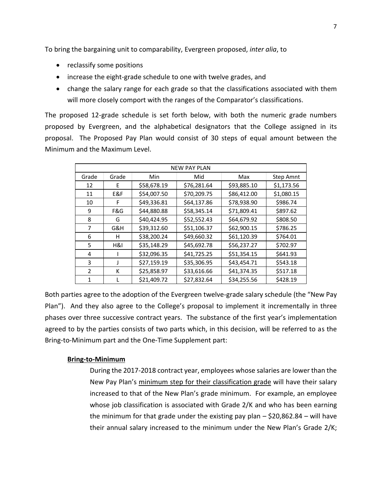To bring the bargaining unit to comparability, Evergreen proposed, *inter alia*, to

- reclassify some positions
- increase the eight-grade schedule to one with twelve grades, and
- change the salary range for each grade so that the classifications associated with them will more closely comport with the ranges of the Comparator's classifications.

The proposed 12-grade schedule is set forth below, with both the numeric grade numbers proposed by Evergreen, and the alphabetical designators that the College assigned in its proposal. The Proposed Pay Plan would consist of 30 steps of equal amount between the Minimum and the Maximum Level.

| <b>NEW PAY PLAN</b> |       |             |             |             |            |  |
|---------------------|-------|-------------|-------------|-------------|------------|--|
| Grade               | Grade | Min         | Mid         | Max         | Step Amnt  |  |
| 12                  | E.    | \$58,678.19 | \$76,281.64 | \$93,885.10 | \$1,173.56 |  |
| 11                  | E&F   | \$54,007.50 | \$70,209.75 | \$86,412.00 | \$1,080.15 |  |
| 10                  | F     | \$49,336.81 | \$64,137.86 | \$78,938.90 | \$986.74   |  |
| 9                   | F&G   | \$44,880.88 | \$58,345.14 | \$71,809.41 | \$897.62   |  |
| 8                   | G     | \$40,424.95 | \$52,552.43 | \$64,679.92 | \$808.50   |  |
| 7                   | G&H   | \$39,312.60 | \$51,106.37 | \$62,900.15 | \$786.25   |  |
| 6                   | н     | \$38,200.24 | \$49,660.32 | \$61,120.39 | \$764.01   |  |
| 5                   | H&I   | \$35,148.29 | \$45,692.78 | \$56,237.27 | \$702.97   |  |
| 4                   |       | \$32,096.35 | \$41,725.25 | \$51,354.15 | \$641.93   |  |
| 3                   |       | \$27,159.19 | \$35,306.95 | \$43,454.71 | \$543.18   |  |
| $\mathcal{P}$       | К     | \$25,858.97 | \$33,616.66 | \$41,374.35 | \$517.18   |  |
| 1                   |       | \$21,409.72 | \$27,832.64 | \$34,255.56 | \$428.19   |  |

Both parties agree to the adoption of the Evergreen twelve-grade salary schedule (the "New Pay Plan"). And they also agree to the College's proposal to implement it incrementally in three phases over three successive contract years. The substance of the first year's implementation agreed to by the parties consists of two parts which, in this decision, will be referred to as the Bring-to-Minimum part and the One-Time Supplement part:

# **Bring-to-Minimum**

During the 2017-2018 contract year, employees whose salaries are lower than the New Pay Plan's minimum step for their classification grade will have their salary increased to that of the New Plan's grade minimum. For example, an employee whose job classification is associated with Grade 2/K and who has been earning the minimum for that grade under the existing pay plan  $-$  \$20,862.84 – will have their annual salary increased to the minimum under the New Plan's Grade 2/K;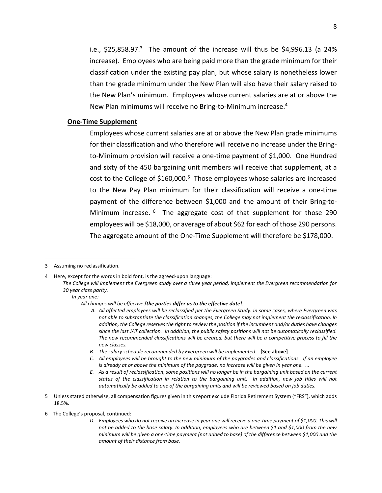i.e.,  $$25,858.97<sup>3</sup>$  The amount of the increase will thus be  $$4,996.13$  (a  $24\%$ increase). Employees who are being paid more than the grade minimum for their classification under the existing pay plan, but whose salary is nonetheless lower than the grade minimum under the New Plan will also have their salary raised to the New Plan's minimum. Employees whose current salaries are at or above the New Plan minimums will receive no Bring-to-Minimum increase.<sup>4</sup>

#### **One-Time Supplement**

Employees whose current salaries are at or above the New Plan grade minimums for their classification and who therefore will receive no increase under the Bringto-Minimum provision will receive a one-time payment of \$1,000. One Hundred and sixty of the 450 bargaining unit members will receive that supplement, at a cost to the College of \$160,000.<sup>5</sup> Those employees whose salaries are increased to the New Pay Plan minimum for their classification will receive a one-time payment of the difference between \$1,000 and the amount of their Bring-to-Minimum increase. <sup>6</sup> The aggregate cost of that supplement for those 290 employees will be \$18,000, or average of about \$62 for each of those 290 persons. The aggregate amount of the One-Time Supplement will therefore be \$178,000.

 $\overline{a}$ 

*In year one:*

- *C. All employees will be brought to the new minimum of the paygrades and classifications. If an employee is already at or above the minimum of the paygrade, no increase will be given in year one.* ...
- *E. As a result of reclassification, some positions will no longer be in the bargaining unit based on the current status of the classification in relation to the bargaining unit. In addition, new job titles will not automatically be added to one of the bargaining units and will be reviewed based on job duties.*
- 5 Unless stated otherwise, all compensation figures given in this report exclude Florida Retirement System ("FRS"), which adds 18.5%.
- 6 The College's proposal, continued:
	- *D. Employees who do not receive an increase in year one will receive a one-time payment of \$1,000. This will not be added to the base salary. In addition, employees who are between \$1 and \$1,000 from the new minimum will be given a one-time payment (not added to base) of the difference between \$1,000 and the amount of their distance from base.*

<sup>3</sup> Assuming no reclassification.

<sup>4</sup> Here, except for the words in bold font, is the agreed-upon language:

*The College will implement the Evergreen study over a three year period, implement the Evergreen recommendation for 30 year class parity.*

*All changes will be effective [the parties differ as to the effective date]:*

*A. All affected employees will be reclassified per the Evergreen Study. In some cases, where Evergreen was not able to substantiate the classification changes, the College may not implement the reclassification. In addition, the College reserves the right to review the position if the incumbent and/or duties have changes since the last JAT collection. In addition, the public safety positions will not be automatically reclassified. The new recommended classifications will be created, but there will be a competitive process to fill the new classes.*

*B. The salary schedule recommended by Evergreen will be implemented…* **[See above]**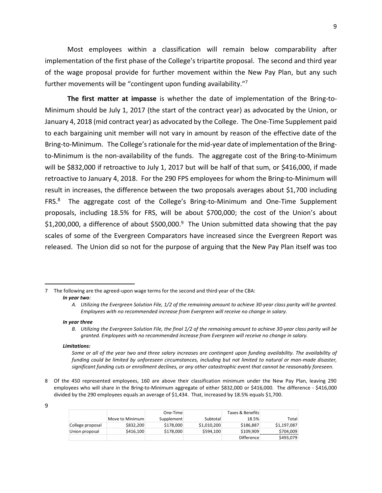Most employees within a classification will remain below comparability after implementation of the first phase of the College's tripartite proposal. The second and third year of the wage proposal provide for further movement within the New Pay Plan, but any such further movements will be "contingent upon funding availability."<sup>7</sup>

**The first matter at impasse** is whether the date of implementation of the Bring-to-Minimum should be July 1, 2017 (the start of the contract year) as advocated by the Union, or January 4, 2018 (mid contract year) as advocated by the College. The One-Time Supplement paid to each bargaining unit member will not vary in amount by reason of the effective date of the Bring-to-Minimum. The College's rationale for the mid-year date of implementation of the Bringto-Minimum is the non-availability of the funds. The aggregate cost of the Bring-to-Minimum will be \$832,000 if retroactive to July 1, 2017 but will be half of that sum, or \$416,000, if made retroactive to January 4, 2018. For the 290 FPS employees for whom the Bring-to-Minimum will result in increases, the difference between the two proposals averages about \$1,700 including FRS.<sup>8</sup> The aggregate cost of the College's Bring-to-Minimum and One-Time Supplement proposals, including 18.5% for FRS, will be about \$700,000; the cost of the Union's about \$1,200,000, a difference of about \$500,000.<sup>9</sup> The Union submitted data showing that the pay scales of some of the Evergreen Comparators have increased since the Evergreen Report was released. The Union did so not for the purpose of arguing that the New Pay Plan itself was too

#### *In year three*

*B. Utilizing the Evergreen Solution File, the final 1/2 of the remaining amount to achieve 30-year class parity will be granted. Employees with no recommended increase from Evergreen will receive no change in salary.*

#### *Limitations:*

8 Of the 450 represented employees, 160 are above their classification minimum under the New Pay Plan, leaving 290 employees who will share in the Bring-to-Minimum aggregate of either \$832,000 or \$416,000. The difference - \$416,000 divided by the 290 employees equals an average of \$1,434. That, increased by 18.5% equals \$1,700.

| I<br>I |
|--------|
| I      |

l

|                  |                 | One-Time   |             | Taxes & Benefits  |             |
|------------------|-----------------|------------|-------------|-------------------|-------------|
|                  | Move to Minimum | Supplement | Subtotal    | 18.5%             | Total       |
| College proposal | \$832,200       | \$178,000  | \$1.010.200 | \$186.887         | \$1.197.087 |
| Union proposal   | \$416.100       | \$178,000  | \$594,100   | \$109.909         | \$704.009   |
|                  |                 |            |             | <b>Difference</b> | \$493,079   |

<sup>7</sup> The following are the agreed-upon wage terms for the second and third year of the CBA: *In year two:*

*A. Utilizing the Evergreen Solution File, 1/2 of the remaining amount to achieve 30-year class parity will be granted. Employees with no recommended increase from Evergreen will receive no change in salary.*

*Some or all of the year two and three salary increases are contingent upon funding availability. The availability of funding could be limited by unforeseen circumstances, including but not limited to natural or man-made disaster, significant funding cuts or enrollment declines, or any other catastrophic event that cannot be reasonably foreseen.*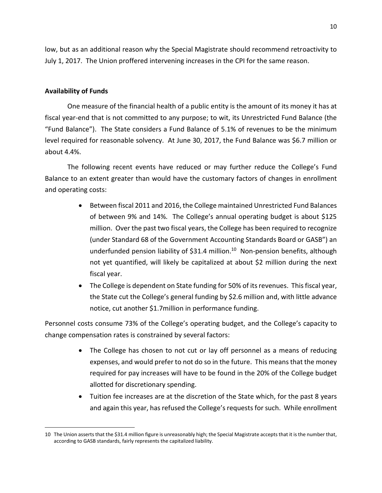low, but as an additional reason why the Special Magistrate should recommend retroactivity to July 1, 2017. The Union proffered intervening increases in the CPI for the same reason.

# **Availability of Funds**

 $\overline{a}$ 

One measure of the financial health of a public entity is the amount of its money it has at fiscal year-end that is not committed to any purpose; to wit, its Unrestricted Fund Balance (the "Fund Balance"). The State considers a Fund Balance of 5.1% of revenues to be the minimum level required for reasonable solvency. At June 30, 2017, the Fund Balance was \$6.7 million or about 4.4%.

The following recent events have reduced or may further reduce the College's Fund Balance to an extent greater than would have the customary factors of changes in enrollment and operating costs:

- Between fiscal 2011 and 2016, the College maintained Unrestricted Fund Balances of between 9% and 14%. The College's annual operating budget is about \$125 million. Over the past two fiscal years, the College has been required to recognize (under Standard 68 of the Government Accounting Standards Board or GASB") an underfunded pension liability of \$31.4 million.<sup>10</sup> Non-pension benefits, although not yet quantified, will likely be capitalized at about \$2 million during the next fiscal year.
- The College is dependent on State funding for 50% of its revenues. This fiscal year, the State cut the College's general funding by \$2.6 million and, with little advance notice, cut another \$1.7million in performance funding.

Personnel costs consume 73% of the College's operating budget, and the College's capacity to change compensation rates is constrained by several factors:

- The College has chosen to not cut or lay off personnel as a means of reducing expenses, and would prefer to not do so in the future. This means that the money required for pay increases will have to be found in the 20% of the College budget allotted for discretionary spending.
- Tuition fee increases are at the discretion of the State which, for the past 8 years and again this year, has refused the College's requests for such. While enrollment

<sup>10</sup> The Union asserts that the \$31.4 million figure is unreasonably high; the Special Magistrate accepts that it is the number that, according to GASB standards, fairly represents the capitalized liability.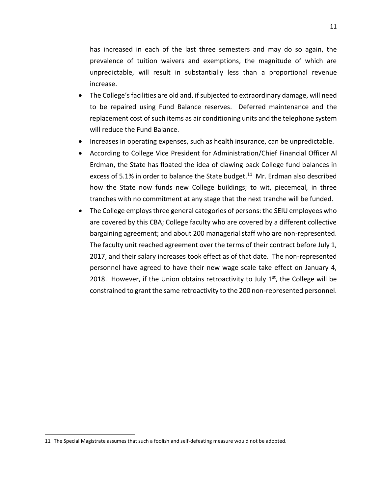has increased in each of the last three semesters and may do so again, the prevalence of tuition waivers and exemptions, the magnitude of which are unpredictable, will result in substantially less than a proportional revenue increase.

- The College's facilities are old and, if subjected to extraordinary damage, will need to be repaired using Fund Balance reserves. Deferred maintenance and the replacement cost of such items as air conditioning units and the telephone system will reduce the Fund Balance.
- Increases in operating expenses, such as health insurance, can be unpredictable.
- According to College Vice President for Administration/Chief Financial Officer Al Erdman, the State has floated the idea of clawing back College fund balances in excess of 5.1% in order to balance the State budget.<sup>11</sup> Mr. Erdman also described how the State now funds new College buildings; to wit, piecemeal, in three tranches with no commitment at any stage that the next tranche will be funded.
- The College employs three general categories of persons: the SEIU employees who are covered by this CBA; College faculty who are covered by a different collective bargaining agreement; and about 200 managerial staff who are non-represented. The faculty unit reached agreement over the terms of their contract before July 1, 2017, and their salary increases took effect as of that date. The non-represented personnel have agreed to have their new wage scale take effect on January 4, 2018. However, if the Union obtains retroactivity to July  $1<sup>st</sup>$ , the College will be constrained to grant the same retroactivity to the 200 non-represented personnel.

<sup>11</sup> The Special Magistrate assumes that such a foolish and self-defeating measure would not be adopted.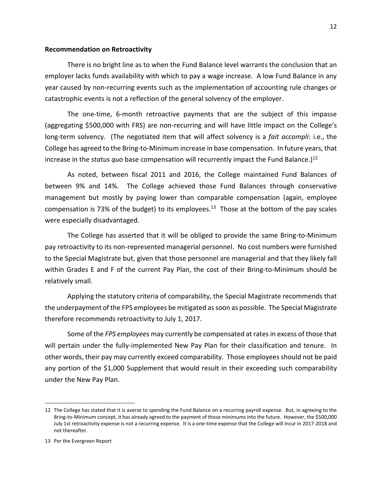### **Recommendation on Retroactivity**

There is no bright line as to when the Fund Balance level warrants the conclusion that an employer lacks funds availability with which to pay a wage increase. A low Fund Balance in any year caused by non-recurring events such as the implementation of accounting rule changes or catastrophic events is not a reflection of the general solvency of the employer.

The one-time, 6-month retroactive payments that are the subject of this impasse (aggregating \$500,000 with FRS) are non-recurring and will have little impact on the College's long-term solvency. (The negotiated item that will affect solvency is a *fait accompli*: i.e., the College has agreed to the Bring-to-Minimum increase in base compensation. In future years, that increase in the *status quo* base compensation will recurrently impact the Fund Balance.) 12

As noted, between fiscal 2011 and 2016, the College maintained Fund Balances of between 9% and 14%. The College achieved those Fund Balances through conservative management but mostly by paying lower than comparable compensation (again, employee compensation is 73% of the budget) to its employees.<sup>13</sup> Those at the bottom of the pay scales were especially disadvantaged.

The College has asserted that it will be obliged to provide the same Bring-to-Minimum pay retroactivity to its non-represented managerial personnel. No cost numbers were furnished to the Special Magistrate but, given that those personnel are managerial and that they likely fall within Grades E and F of the current Pay Plan, the cost of their Bring-to-Minimum should be relatively small.

Applying the statutory criteria of comparability, the Special Magistrate recommends that the underpayment of the FPS employees be mitigated as soon as possible. The Special Magistrate therefore recommends retroactivity to July 1, 2017.

Some of the *FPS employees* may currently be compensated at rates in excess of those that will pertain under the fully-implemented New Pay Plan for their classification and tenure. In other words, their pay may currently exceed comparability. Those employees should not be paid any portion of the \$1,000 Supplement that would result in their exceeding such comparability under the New Pay Plan.

<sup>12</sup> The College has stated that it is averse to spending the Fund Balance on a recurring payroll expense. But, in agreeing to the Bring-to-Minimum concept, it has already agreed to the payment of those minimums into the future. However, the \$500,000 July 1st retroactivity expense is not a recurring expense. It is a one-time expense that the College will incur in 2017-2018 and not thereafter.

<sup>13</sup> Per the Evergreen Report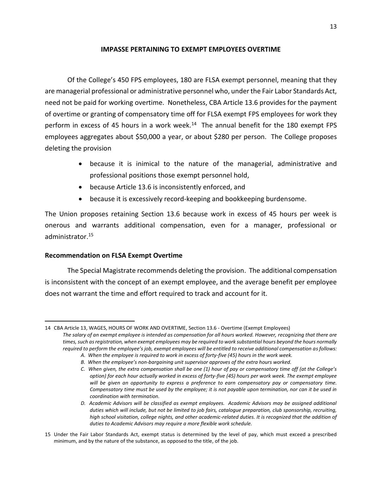# **IMPASSE PERTAINING TO EXEMPT EMPLOYEES OVERTIME**

Of the College's 450 FPS employees, 180 are FLSA exempt personnel, meaning that they are managerial professional or administrative personnel who, under the Fair Labor Standards Act, need not be paid for working overtime. Nonetheless, CBA Article 13.6 provides for the payment of overtime or granting of compensatory time off for FLSA exempt FPS employees for work they perform in excess of 45 hours in a work week.<sup>14</sup> The annual benefit for the 180 exempt FPS employees aggregates about \$50,000 a year, or about \$280 per person. The College proposes deleting the provision

- because it is inimical to the nature of the managerial, administrative and professional positions those exempt personnel hold,
- because Article 13.6 is inconsistently enforced, and
- because it is excessively record-keeping and bookkeeping burdensome.

The Union proposes retaining Section 13.6 because work in excess of 45 hours per week is onerous and warrants additional compensation, even for a manager, professional or administrator.<sup>15</sup>

# **Recommendation on FLSA Exempt Overtime**

The Special Magistrate recommends deleting the provision. The additional compensation is inconsistent with the concept of an exempt employee, and the average benefit per employee does not warrant the time and effort required to track and account for it.

 $\overline{\phantom{a}}$ 14 CBA Article 13, WAGES, HOURS OF WORK AND OVERTIME, Section 13.6 - Overtime (Exempt Employees) *The salary of an exempt employee is intended as compensation for all hours worked. However, recognizing that there are times, such as registration, when exempt employees may be required to work substantial hours beyond the hours normally required to perform the employee's job, exempt employees will be entitled to receive additional compensation as follows:*

*A. When the employee is required to work in excess of forty-five (45) hours in the work week.*

*B. When the employee's non-bargaining unit supervisor approves of the extra hours worked.*

*C. When given, the extra compensation shall be one (1) hour of pay or compensatory time off (at the College's option) for each hour actually worked in excess of forty-five (45) hours per work week. The exempt employee will be given an opportunity to express a preference to earn compensatory pay or compensatory time. Compensatory time must be used by the employee; it is not payable upon termination, nor can it be used in coordination with termination.*

*D. Academic Advisors will be classified as exempt employees. Academic Advisors may be assigned additional duties which will include, but not be limited to job fairs, catalogue preparation, club sponsorship, recruiting, high school visitation, college nights, and other academic-related duties. It is recognized that the addition of duties to Academic Advisors may require a more flexible work schedule.*

<sup>15</sup> Under the Fair Labor Standards Act, exempt status is determined by the level of pay, which must exceed a prescribed minimum, and by the nature of the substance, as opposed to the title, of the job.